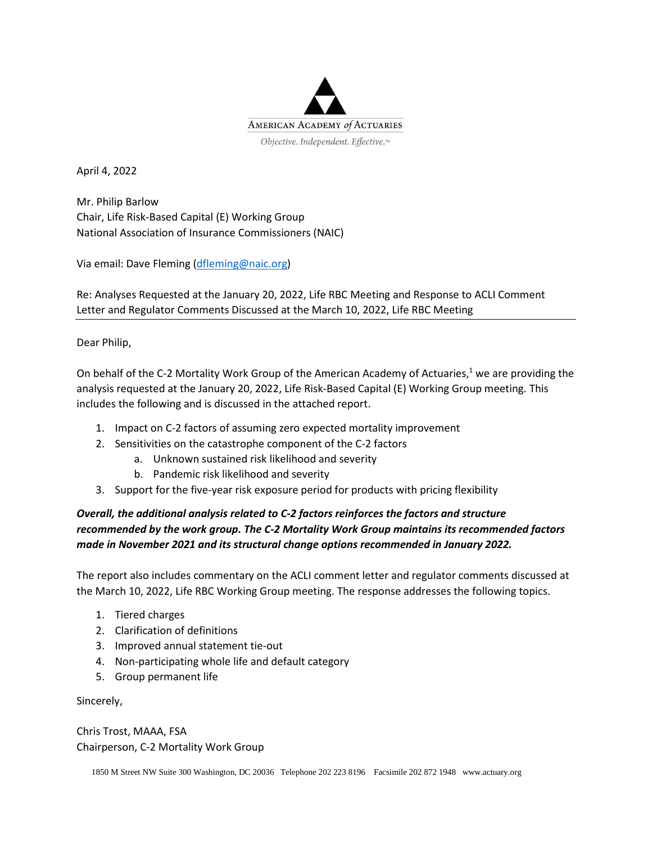

April 4, 2022

Mr. Philip Barlow Chair, Life Risk-Based Capital (E) Working Group National Association of Insurance Commissioners (NAIC)

Via email: Dave Fleming [\(dfleming@naic.org\)](mailto:dfleming@naic.org)

Re: Analyses Requested at the January 20, 2022, Life RBC Meeting and Response to ACLI Comment Letter and Regulator Comments Discussed at the March 10, 2022, Life RBC Meeting

Dear Philip,

On behalf of the C-2 Mortality Work Group of the American Academy of Actuaries,<sup>1</sup> we are providing the analysis requested at the January 20, 2022, Life Risk-Based Capital (E) Working Group meeting. This includes the following and is discussed in the attached report.

- 1. Impact on C-2 factors of assuming zero expected mortality improvement
- 2. Sensitivities on the catastrophe component of the C-2 factors
	- a. Unknown sustained risk likelihood and severity
	- b. Pandemic risk likelihood and severity
- 3. Support for the five-year risk exposure period for products with pricing flexibility

### *Overall, the additional analysis related to C-2 factors reinforces the factors and structure recommended by the work group. The C-2 Mortality Work Group maintains its recommended factors made in November 2021 and its structural change options recommended in January 2022.*

The report also includes commentary on the ACLI comment letter and regulator comments discussed at the March 10, 2022, Life RBC Working Group meeting. The response addresses the following topics.

- 1. Tiered charges
- 2. Clarification of definitions
- 3. Improved annual statement tie-out
- 4. Non-participating whole life and default category
- 5. Group permanent life

Sincerely,

Chris Trost, MAAA, FSA Chairperson, C-2 Mortality Work Group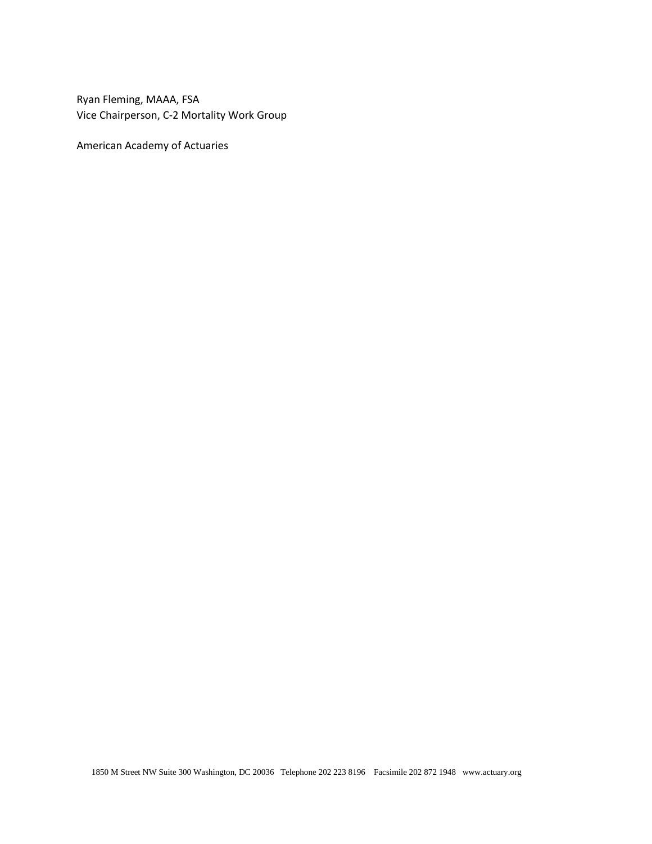Ryan Fleming, MAAA, FSA Vice Chairperson, C-2 Mortality Work Group

American Academy of Actuaries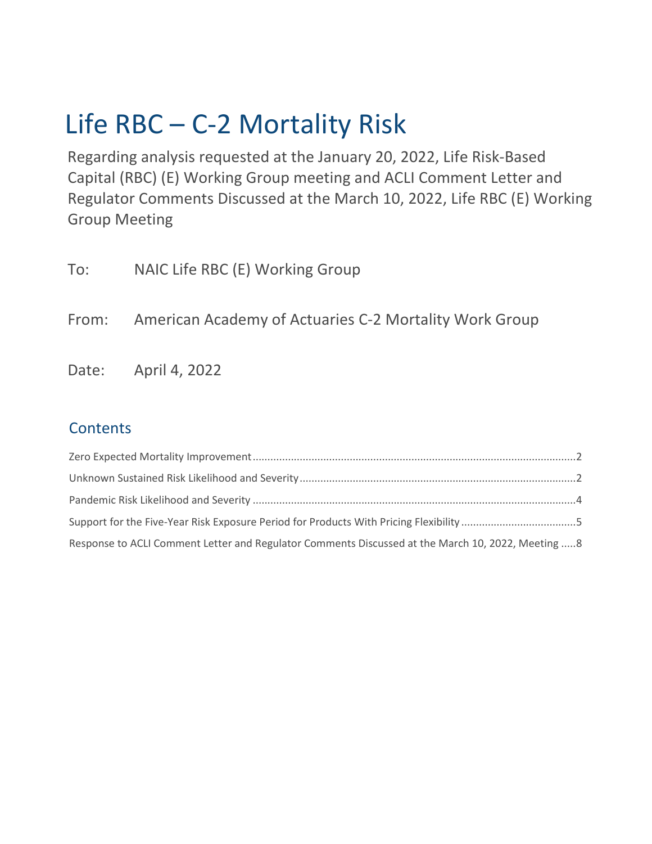# Life RBC – C-2 Mortality Risk

Regarding analysis requested at the January 20, 2022, Life Risk-Based Capital (RBC) (E) Working Group meeting and ACLI Comment Letter and Regulator Comments Discussed at the March 10, 2022, Life RBC (E) Working Group Meeting

| To: | NAIC Life RBC (E) Working Group                              |
|-----|--------------------------------------------------------------|
|     | From: American Academy of Actuaries C-2 Mortality Work Group |
|     | Date: April 4, 2022                                          |

## **Contents**

| Response to ACLI Comment Letter and Regulator Comments Discussed at the March 10, 2022, Meeting  8 |
|----------------------------------------------------------------------------------------------------|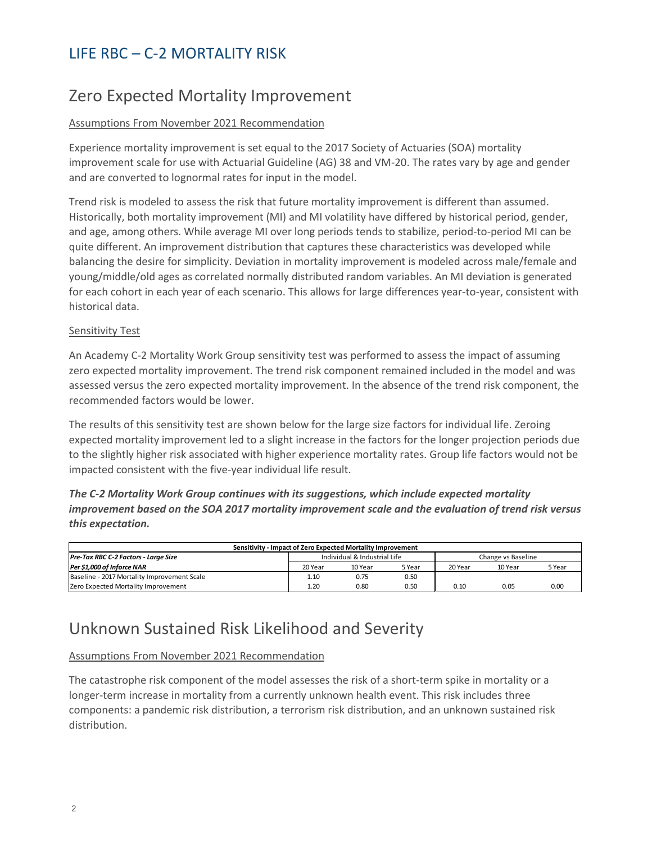# <span id="page-3-0"></span>Zero Expected Mortality Improvement

#### Assumptions From November 2021 Recommendation

Experience mortality improvement is set equal to the 2017 Society of Actuaries (SOA) mortality improvement scale for use with Actuarial Guideline (AG) 38 and VM-20. The rates vary by age and gender and are converted to lognormal rates for input in the model.

Trend risk is modeled to assess the risk that future mortality improvement is different than assumed. Historically, both mortality improvement (MI) and MI volatility have differed by historical period, gender, and age, among others. While average MI over long periods tends to stabilize, period-to-period MI can be quite different. An improvement distribution that captures these characteristics was developed while balancing the desire for simplicity. Deviation in mortality improvement is modeled across male/female and young/middle/old ages as correlated normally distributed random variables. An MI deviation is generated for each cohort in each year of each scenario. This allows for large differences year-to-year, consistent with historical data.

#### Sensitivity Test

An Academy C-2 Mortality Work Group sensitivity test was performed to assess the impact of assuming zero expected mortality improvement. The trend risk component remained included in the model and was assessed versus the zero expected mortality improvement. In the absence of the trend risk component, the recommended factors would be lower.

The results of this sensitivity test are shown below for the large size factors for individual life. Zeroing expected mortality improvement led to a slight increase in the factors for the longer projection periods due to the slightly higher risk associated with higher experience mortality rates. Group life factors would not be impacted consistent with the five-year individual life result.

*The C-2 Mortality Work Group continues with its suggestions, which include expected mortality improvement based on the SOA 2017 mortality improvement scale and the evaluation of trend risk versus this expectation.*

| Sensitivity - Impact of Zero Expected Mortality Improvement |                              |         |        |                    |         |        |  |  |
|-------------------------------------------------------------|------------------------------|---------|--------|--------------------|---------|--------|--|--|
| Pre-Tax RBC C-2 Factors - Large Size                        | Individual & Industrial Life |         |        | Change vs Baseline |         |        |  |  |
| Per \$1,000 of Inforce NAR                                  | 20 Year                      | 10 Year | 5 Year | 20 Year            | 10 Year | 5 Year |  |  |
| Baseline - 2017 Mortality Improvement Scale                 | 1.10                         | 0.75    | 0.50   |                    |         |        |  |  |
| <b>Zero Expected Mortality Improvement</b>                  | 1.20                         | 0.80    | 0.50   | 0.10               | 0.05    | 0.00   |  |  |

## <span id="page-3-1"></span>Unknown Sustained Risk Likelihood and Severity

#### Assumptions From November 2021 Recommendation

The catastrophe risk component of the model assesses the risk of a short-term spike in mortality or a longer-term increase in mortality from a currently unknown health event. This risk includes three components: a pandemic risk distribution, a terrorism risk distribution, and an unknown sustained risk distribution.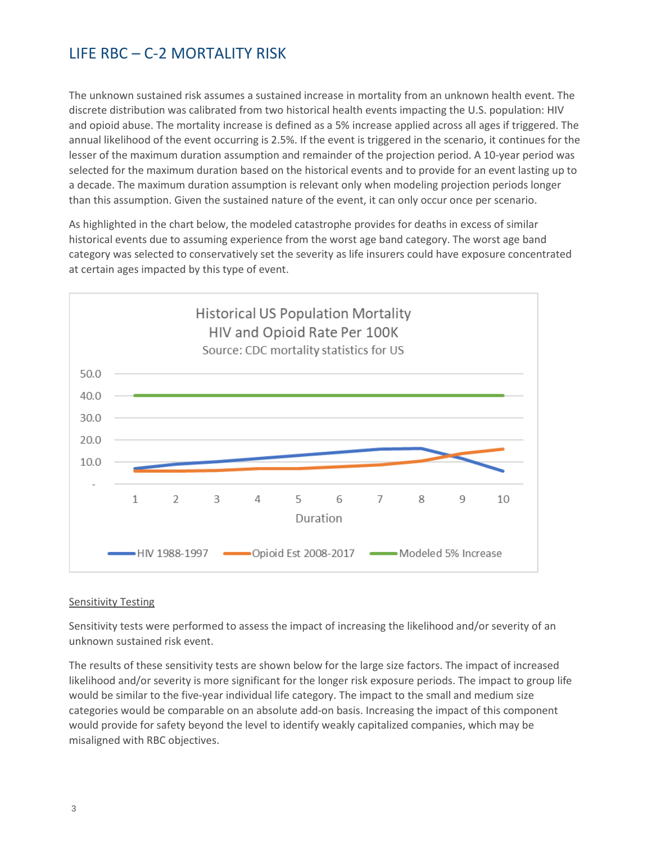The unknown sustained risk assumes a sustained increase in mortality from an unknown health event. The discrete distribution was calibrated from two historical health events impacting the U.S. population: HIV and opioid abuse. The mortality increase is defined as a 5% increase applied across all ages if triggered. The annual likelihood of the event occurring is 2.5%. If the event is triggered in the scenario, it continues for the lesser of the maximum duration assumption and remainder of the projection period. A 10-year period was selected for the maximum duration based on the historical events and to provide for an event lasting up to a decade. The maximum duration assumption is relevant only when modeling projection periods longer than this assumption. Given the sustained nature of the event, it can only occur once per scenario.

As highlighted in the chart below, the modeled catastrophe provides for deaths in excess of similar historical events due to assuming experience from the worst age band category. The worst age band category was selected to conservatively set the severity as life insurers could have exposure concentrated at certain ages impacted by this type of event.



#### **Sensitivity Testing**

Sensitivity tests were performed to assess the impact of increasing the likelihood and/or severity of an unknown sustained risk event.

The results of these sensitivity tests are shown below for the large size factors. The impact of increased likelihood and/or severity is more significant for the longer risk exposure periods. The impact to group life would be similar to the five-year individual life category. The impact to the small and medium size categories would be comparable on an absolute add-on basis. Increasing the impact of this component would provide for safety beyond the level to identify weakly capitalized companies, which may be misaligned with RBC objectives.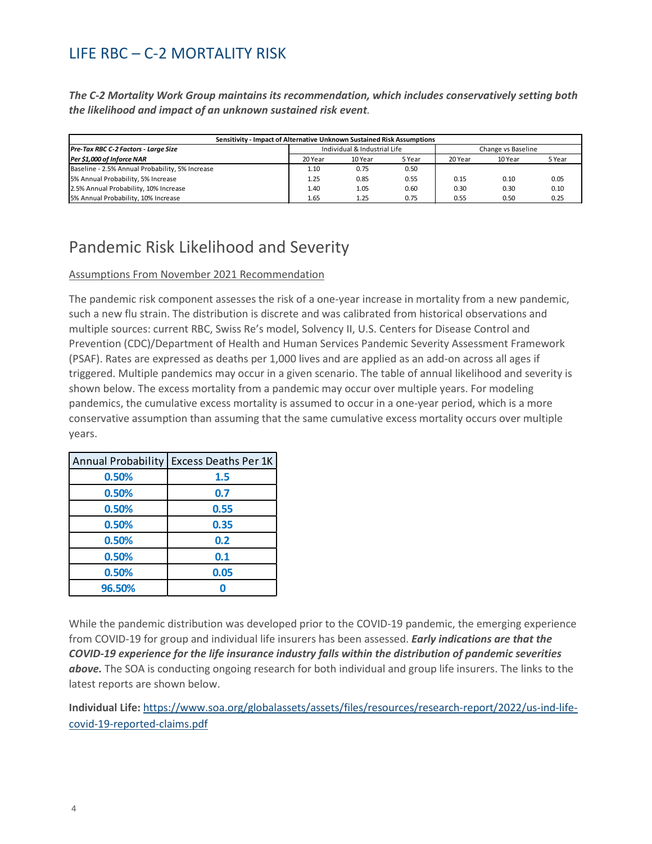*The C-2 Mortality Work Group maintains its recommendation, which includes conservatively setting both the likelihood and impact of an unknown sustained risk event.*

| Sensitivity - Impact of Alternative Unknown Sustained Risk Assumptions |                              |         |        |                    |         |        |  |
|------------------------------------------------------------------------|------------------------------|---------|--------|--------------------|---------|--------|--|
| Pre-Tax RBC C-2 Factors - Large Size                                   | Individual & Industrial Life |         |        | Change vs Baseline |         |        |  |
| Per \$1,000 of Inforce NAR                                             | 20 Year                      | 10 Year | 5 Year | 20 Year            | 10 Year | 5 Year |  |
| Baseline - 2.5% Annual Probability, 5% Increase                        | 1.10                         | 0.75    | 0.50   |                    |         |        |  |
| 5% Annual Probability, 5% Increase                                     | 1.25                         | 0.85    | 0.55   | 0.15               | 0.10    | 0.05   |  |
| 2.5% Annual Probability, 10% Increase                                  | 1.40                         | 1.05    | 0.60   | 0.30               | 0.30    | 0.10   |  |
| 5% Annual Probability, 10% Increase                                    | 1.65                         | 1.25    | 0.75   | 0.55               | 0.50    | 0.25   |  |

# <span id="page-5-0"></span>Pandemic Risk Likelihood and Severity

#### Assumptions From November 2021 Recommendation

The pandemic risk component assesses the risk of a one-year increase in mortality from a new pandemic, such a new flu strain. The distribution is discrete and was calibrated from historical observations and multiple sources: current RBC, Swiss Re's model, Solvency II, U.S. Centers for Disease Control and Prevention (CDC)/Department of Health and Human Services Pandemic Severity Assessment Framework (PSAF). Rates are expressed as deaths per 1,000 lives and are applied as an add-on across all ages if triggered. Multiple pandemics may occur in a given scenario. The table of annual likelihood and severity is shown below. The excess mortality from a pandemic may occur over multiple years. For modeling pandemics, the cumulative excess mortality is assumed to occur in a one-year period, which is a more conservative assumption than assuming that the same cumulative excess mortality occurs over multiple years.

| <b>Annual Probability</b> | <b>Excess Deaths Per 1K</b> |
|---------------------------|-----------------------------|
| 0.50%                     | 1.5                         |
| 0.50%                     | 0.7                         |
| 0.50%                     | 0.55                        |
| 0.50%                     | 0.35                        |
| 0.50%                     | 0.2                         |
| 0.50%                     | 0.1                         |
| 0.50%                     | 0.05                        |
| 96.50%                    |                             |

While the pandemic distribution was developed prior to the COVID-19 pandemic, the emerging experience from COVID-19 for group and individual life insurers has been assessed. *Early indications are that the COVID-19 experience for the life insurance industry falls within the distribution of pandemic severities above.* The SOA is conducting ongoing research for both individual and group life insurers. The links to the latest reports are shown below.

**Individual Life:** [https://www.soa.org/globalassets/assets/files/resources/research-report/2022/us-ind-life](https://www.soa.org/globalassets/assets/files/resources/research-report/2022/us-ind-life-covid-19-reported-claims.pdf)[covid-19-reported-claims.pdf](https://www.soa.org/globalassets/assets/files/resources/research-report/2022/us-ind-life-covid-19-reported-claims.pdf)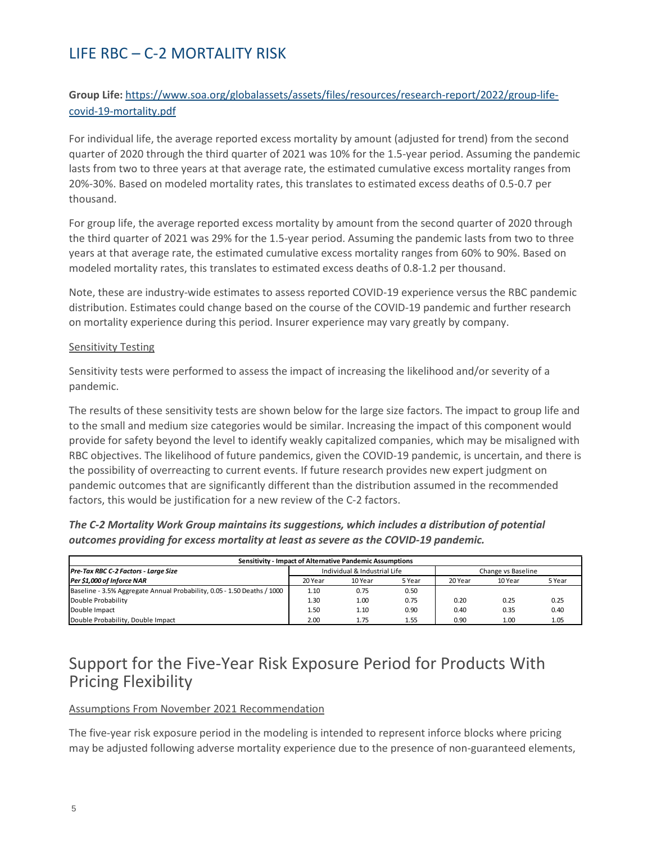### **Group Life:** [https://www.soa.org/globalassets/assets/files/resources/research-report/2022/group-life](https://www.soa.org/globalassets/assets/files/resources/research-report/2022/group-life-covid-19-mortality.pdf)[covid-19-mortality.pdf](https://www.soa.org/globalassets/assets/files/resources/research-report/2022/group-life-covid-19-mortality.pdf)

For individual life, the average reported excess mortality by amount (adjusted for trend) from the second quarter of 2020 through the third quarter of 2021 was 10% for the 1.5-year period. Assuming the pandemic lasts from two to three years at that average rate, the estimated cumulative excess mortality ranges from 20%-30%. Based on modeled mortality rates, this translates to estimated excess deaths of 0.5-0.7 per thousand.

For group life, the average reported excess mortality by amount from the second quarter of 2020 through the third quarter of 2021 was 29% for the 1.5-year period. Assuming the pandemic lasts from two to three years at that average rate, the estimated cumulative excess mortality ranges from 60% to 90%. Based on modeled mortality rates, this translates to estimated excess deaths of 0.8-1.2 per thousand.

Note, these are industry-wide estimates to assess reported COVID-19 experience versus the RBC pandemic distribution. Estimates could change based on the course of the COVID-19 pandemic and further research on mortality experience during this period. Insurer experience may vary greatly by company.

#### Sensitivity Testing

Sensitivity tests were performed to assess the impact of increasing the likelihood and/or severity of a pandemic.

The results of these sensitivity tests are shown below for the large size factors. The impact to group life and to the small and medium size categories would be similar. Increasing the impact of this component would provide for safety beyond the level to identify weakly capitalized companies, which may be misaligned with RBC objectives. The likelihood of future pandemics, given the COVID-19 pandemic, is uncertain, and there is the possibility of overreacting to current events. If future research provides new expert judgment on pandemic outcomes that are significantly different than the distribution assumed in the recommended factors, this would be justification for a new review of the C-2 factors.

| The C-2 Mortality Work Group maintains its suggestions, which includes a distribution of potential |
|----------------------------------------------------------------------------------------------------|
| outcomes providing for excess mortality at least as severe as the COVID-19 pandemic.               |

| Sensitivity - Impact of Alternative Pandemic Assumptions                |                              |         |        |                    |         |        |  |
|-------------------------------------------------------------------------|------------------------------|---------|--------|--------------------|---------|--------|--|
| Pre-Tax RBC C-2 Factors - Large Size                                    | Individual & Industrial Life |         |        | Change vs Baseline |         |        |  |
| Per \$1,000 of Inforce NAR                                              | 20 Year                      | 10 Year | 5 Year | 20 Year            | 10 Year | 5 Year |  |
| Baseline - 3.5% Aggregate Annual Probability, 0.05 - 1.50 Deaths / 1000 | 1.10                         | 0.75    | 0.50   |                    |         |        |  |
| Double Probability                                                      | 1.30                         | 1.00    | 0.75   | 0.20               | 0.25    | 0.25   |  |
| Double Impact                                                           | 1.50                         | 1.10    | 0.90   | 0.40               | 0.35    | 0.40   |  |
| Double Probability, Double Impact                                       | 2.00                         | 1.75    | 1.55   | 0.90               | 1.00    | 1.05   |  |

### <span id="page-6-0"></span>Support for the Five-Year Risk Exposure Period for Products With Pricing Flexibility

#### Assumptions From November 2021 Recommendation

The five-year risk exposure period in the modeling is intended to represent inforce blocks where pricing may be adjusted following adverse mortality experience due to the presence of non-guaranteed elements,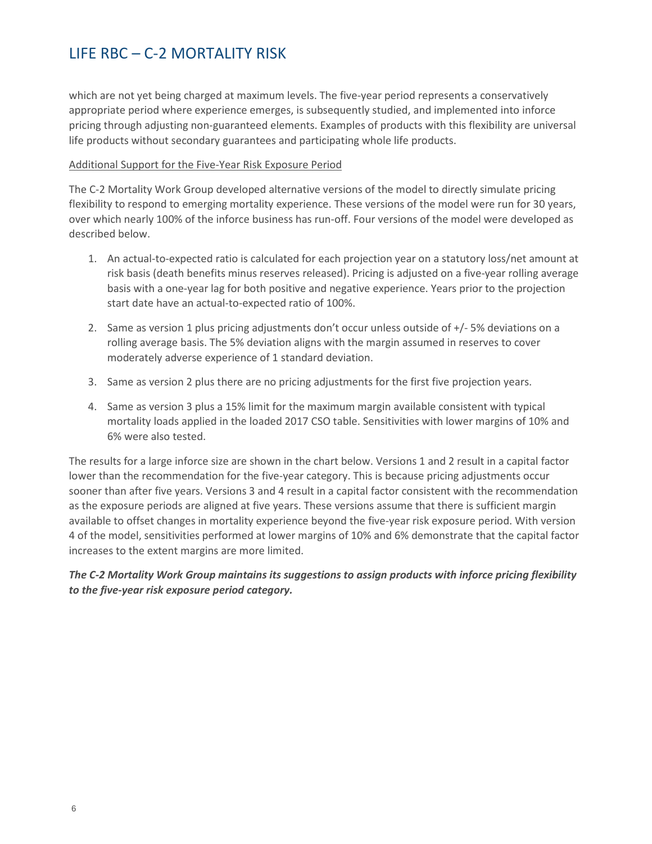which are not yet being charged at maximum levels. The five-year period represents a conservatively appropriate period where experience emerges, is subsequently studied, and implemented into inforce pricing through adjusting non-guaranteed elements. Examples of products with this flexibility are universal life products without secondary guarantees and participating whole life products.

#### Additional Support for the Five-Year Risk Exposure Period

The C-2 Mortality Work Group developed alternative versions of the model to directly simulate pricing flexibility to respond to emerging mortality experience. These versions of the model were run for 30 years, over which nearly 100% of the inforce business has run-off. Four versions of the model were developed as described below.

- 1. An actual-to-expected ratio is calculated for each projection year on a statutory loss/net amount at risk basis (death benefits minus reserves released). Pricing is adjusted on a five-year rolling average basis with a one-year lag for both positive and negative experience. Years prior to the projection start date have an actual-to-expected ratio of 100%.
- 2. Same as version 1 plus pricing adjustments don't occur unless outside of +/- 5% deviations on a rolling average basis. The 5% deviation aligns with the margin assumed in reserves to cover moderately adverse experience of 1 standard deviation.
- 3. Same as version 2 plus there are no pricing adjustments for the first five projection years.
- 4. Same as version 3 plus a 15% limit for the maximum margin available consistent with typical mortality loads applied in the loaded 2017 CSO table. Sensitivities with lower margins of 10% and 6% were also tested.

The results for a large inforce size are shown in the chart below. Versions 1 and 2 result in a capital factor lower than the recommendation for the five-year category. This is because pricing adjustments occur sooner than after five years. Versions 3 and 4 result in a capital factor consistent with the recommendation as the exposure periods are aligned at five years. These versions assume that there is sufficient margin available to offset changes in mortality experience beyond the five-year risk exposure period. With version 4 of the model, sensitivities performed at lower margins of 10% and 6% demonstrate that the capital factor increases to the extent margins are more limited.

*The C-2 Mortality Work Group maintains its suggestions to assign products with inforce pricing flexibility to the five-year risk exposure period category.*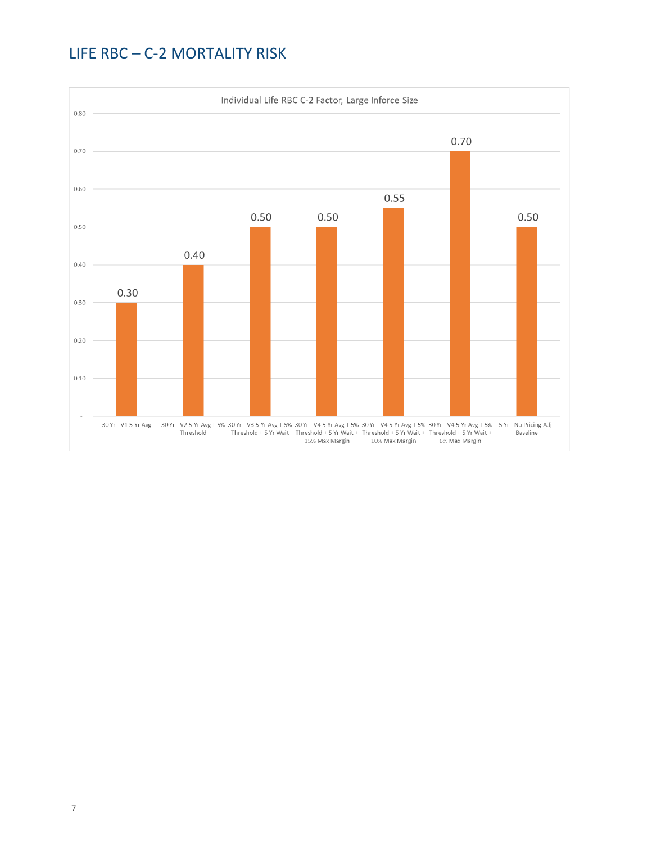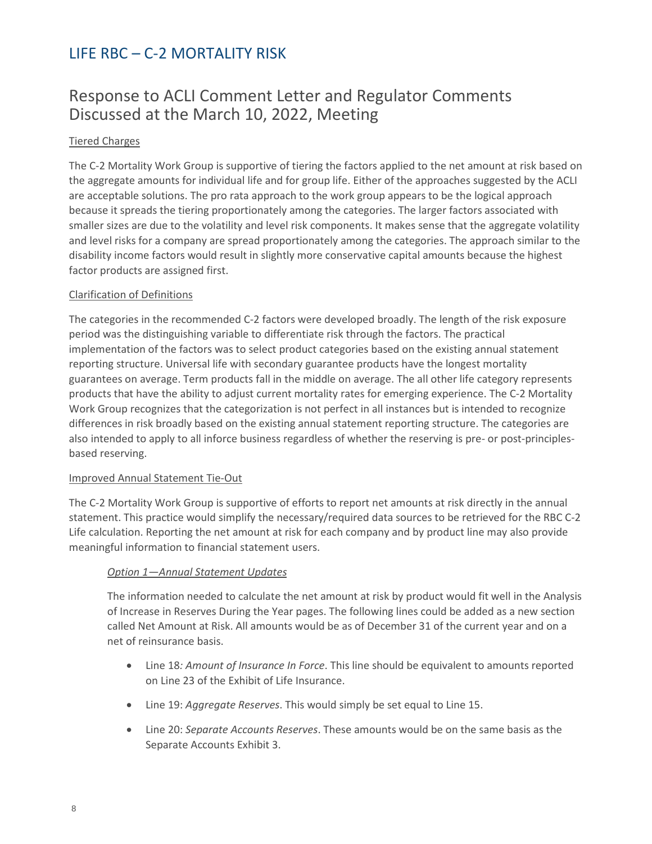### <span id="page-9-0"></span>Response to ACLI Comment Letter and Regulator Comments Discussed at the March 10, 2022, Meeting

#### Tiered Charges

The C-2 Mortality Work Group is supportive of tiering the factors applied to the net amount at risk based on the aggregate amounts for individual life and for group life. Either of the approaches suggested by the ACLI are acceptable solutions. The pro rata approach to the work group appears to be the logical approach because it spreads the tiering proportionately among the categories. The larger factors associated with smaller sizes are due to the volatility and level risk components. It makes sense that the aggregate volatility and level risks for a company are spread proportionately among the categories. The approach similar to the disability income factors would result in slightly more conservative capital amounts because the highest factor products are assigned first.

#### Clarification of Definitions

The categories in the recommended C-2 factors were developed broadly. The length of the risk exposure period was the distinguishing variable to differentiate risk through the factors. The practical implementation of the factors was to select product categories based on the existing annual statement reporting structure. Universal life with secondary guarantee products have the longest mortality guarantees on average. Term products fall in the middle on average. The all other life category represents products that have the ability to adjust current mortality rates for emerging experience. The C-2 Mortality Work Group recognizes that the categorization is not perfect in all instances but is intended to recognize differences in risk broadly based on the existing annual statement reporting structure. The categories are also intended to apply to all inforce business regardless of whether the reserving is pre- or post-principlesbased reserving.

#### Improved Annual Statement Tie-Out

The C-2 Mortality Work Group is supportive of efforts to report net amounts at risk directly in the annual statement. This practice would simplify the necessary/required data sources to be retrieved for the RBC C-2 Life calculation. Reporting the net amount at risk for each company and by product line may also provide meaningful information to financial statement users.

### *Option 1—Annual Statement Updates*

The information needed to calculate the net amount at risk by product would fit well in the Analysis of Increase in Reserves During the Year pages. The following lines could be added as a new section called Net Amount at Risk. All amounts would be as of December 31 of the current year and on a net of reinsurance basis.

- Line 18*: Amount of Insurance In Force*. This line should be equivalent to amounts reported on Line 23 of the Exhibit of Life Insurance.
- Line 19: *Aggregate Reserves*. This would simply be set equal to Line 15.
- Line 20: *Separate Accounts Reserves*. These amounts would be on the same basis as the Separate Accounts Exhibit 3.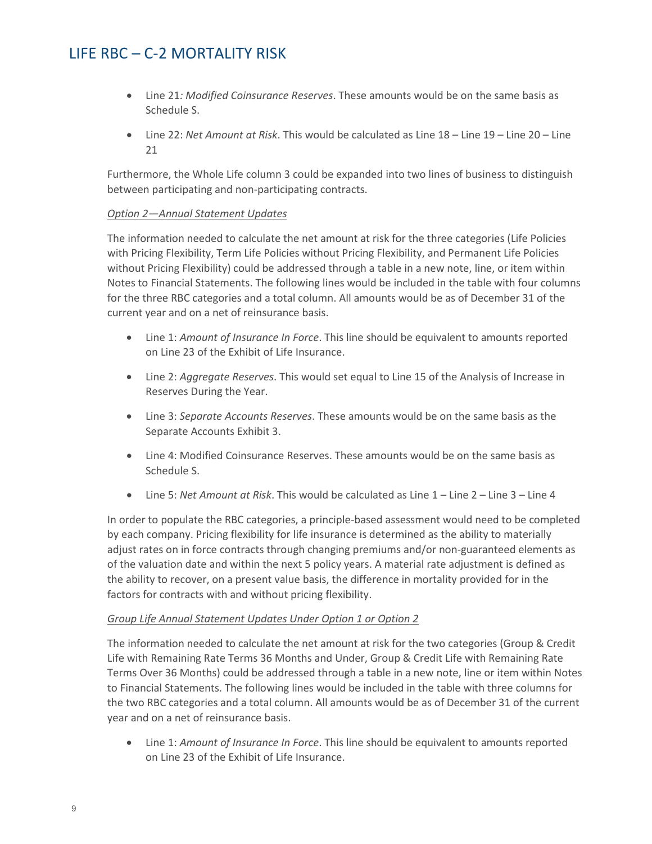- Line 21*: Modified Coinsurance Reserves*. These amounts would be on the same basis as Schedule S.
- Line 22: *Net Amount at Risk*. This would be calculated as Line 18 Line 19 Line 20 Line 21

Furthermore, the Whole Life column 3 could be expanded into two lines of business to distinguish between participating and non-participating contracts.

#### *Option 2—Annual Statement Updates*

The information needed to calculate the net amount at risk for the three categories (Life Policies with Pricing Flexibility, Term Life Policies without Pricing Flexibility, and Permanent Life Policies without Pricing Flexibility) could be addressed through a table in a new note, line, or item within Notes to Financial Statements. The following lines would be included in the table with four columns for the three RBC categories and a total column. All amounts would be as of December 31 of the current year and on a net of reinsurance basis.

- Line 1: *Amount of Insurance In Force*. This line should be equivalent to amounts reported on Line 23 of the Exhibit of Life Insurance.
- Line 2: *Aggregate Reserves*. This would set equal to Line 15 of the Analysis of Increase in Reserves During the Year.
- Line 3: *Separate Accounts Reserves*. These amounts would be on the same basis as the Separate Accounts Exhibit 3.
- Line 4: Modified Coinsurance Reserves. These amounts would be on the same basis as Schedule S.
- Line 5: *Net Amount at Risk*. This would be calculated as Line 1 Line 2 Line 3 Line 4

In order to populate the RBC categories, a principle-based assessment would need to be completed by each company. Pricing flexibility for life insurance is determined as the ability to materially adjust rates on in force contracts through changing premiums and/or non-guaranteed elements as of the valuation date and within the next 5 policy years. A material rate adjustment is defined as the ability to recover, on a present value basis, the difference in mortality provided for in the factors for contracts with and without pricing flexibility.

#### *Group Life Annual Statement Updates Under Option 1 or Option 2*

The information needed to calculate the net amount at risk for the two categories (Group & Credit Life with Remaining Rate Terms 36 Months and Under, Group & Credit Life with Remaining Rate Terms Over 36 Months) could be addressed through a table in a new note, line or item within Notes to Financial Statements. The following lines would be included in the table with three columns for the two RBC categories and a total column. All amounts would be as of December 31 of the current year and on a net of reinsurance basis.

• Line 1: *Amount of Insurance In Force*. This line should be equivalent to amounts reported on Line 23 of the Exhibit of Life Insurance.